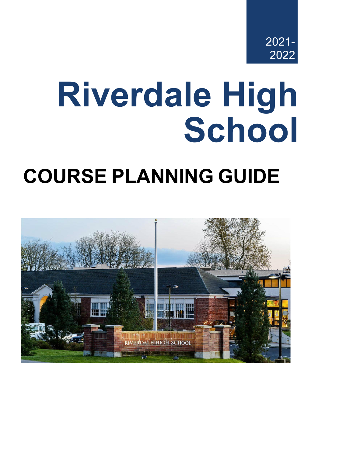

# **Riverdale High School**

# **COURSE PLANNING GUIDE**

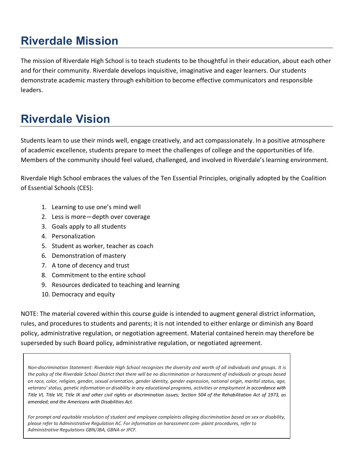# **Riverdale Mission**

The mission of Riverdale High School is to teach students to be thoughtful in their education, about each other and for their community. Riverdale develops inquisitive, imaginative and eager learners. Our students demonstrate academic mastery through exhibition to become effective communicators and responsible leaders.

# **Riverdale Vision**

Students learn to use their minds well, engage creatively, and act compassionately. In a positive atmosphere of academic excellence, students prepare to meet the challenges of college and the opportunities of life. Members of the community should feel valued, challenged, and involved in Riverdale's learning environment.

Riverdale High School embraces the values of the Ten Essential Principles, originally adopted by the Coalition of Essential Schools (CES):

- 1. Learning to use one's mind well
- 2. Less is more—depth over coverage
- 3. Goals apply to all students
- 4. Personalization
- 5. Student as worker, teacher as coach
- 6. Demonstration of mastery
- 7. A tone of decency and trust
- 8. Commitment to the entire school
- 9. Resources dedicated to teaching and learning
- 10. Democracy and equity

NOTE: The material covered within this course guide is intended to augment general district information, rules, and procedures to students and parents; it is not intended to either enlarge or diminish any Board policy, administrative regulation, or negotiation agreement. Material contained herein may therefore be superseded by such Board policy, administrative regulation, or negotiated agreement.

*Non-discrimination Statement: Riverdale High School recognizes the diversity and worth of all individuals and groups. It is the policy of the Riverdale School District that there will be no discrimination or harassment of individuals or groups based on race, color, religion, gender, sexual orientation, gender identity, gender expression, national origin, marital status, age, veterans' status, genetic information or disability in any educational programs, activities or employment in accordance with Title VI, Title VII, Title IX and other civil rights or discrimination issues; Section 504 of the Rehabilitation Act of 1973, as amended; and the Americans with Disabilities Act.*

*For prompt and equitable resolution of student and employee complaints alleging discrimination based on sex or disability, please refer to Administrative Regulation AC. For information on harassment com- plaint procedures, refer to Administrative Regulations GBN/JBA, GBNA or JFCF.*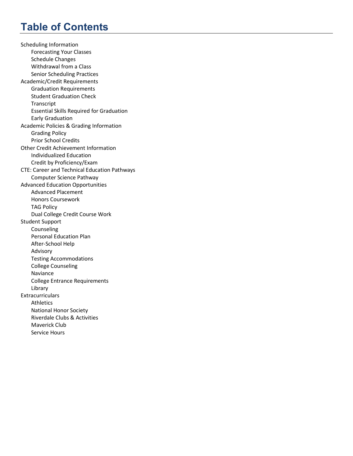# **Table of Contents**

Scheduling Information Forecasting Your Classes Schedule Changes Withdrawal from a Class Senior Scheduling Practices Academic/Credit Requirements Graduation Requirements Student Graduation Check **Transcript** Essential Skills Required for Graduation Early Graduation Academic Policies & Grading Information Grading Policy Prior School Credits Other Credit Achievement Information Individualized Education Credit by Proficiency/Exam CTE: Career and Technical Education Pathways Computer Science Pathway Advanced Education Opportunities Advanced Placement Honors Coursework TAG Policy Dual College Credit Course Work Student Support Counseling Personal Education Plan After-School Help Advisory Testing Accommodations College Counseling Naviance College Entrance Requirements Library **Extracurriculars** Athletics National Honor Society Riverdale Clubs & Activities Maverick Club Service Hours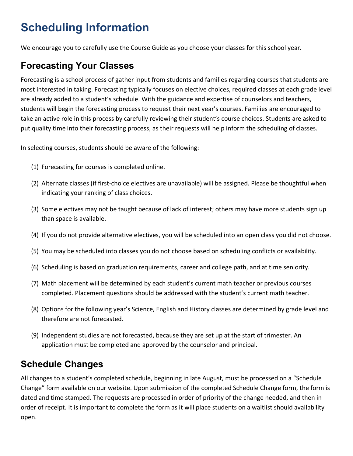# **Scheduling Information**

We encourage you to carefully use the Course Guide as you choose your classes for this school year.

# **Forecasting Your Classes**

Forecasting is a school process of gather input from students and families regarding courses that students are most interested in taking. Forecasting typically focuses on elective choices, required classes at each grade level are already added to a student's schedule. With the guidance and expertise of counselors and teachers, students will begin the forecasting process to request their next year's courses. Families are encouraged to take an active role in this process by carefully reviewing their student's course choices. Students are asked to put quality time into their forecasting process, as their requests will help inform the scheduling of classes.

In selecting courses, students should be aware of the following:

- (1) Forecasting for courses is completed online.
- (2) Alternate classes (if first-choice electives are unavailable) will be assigned. Please be thoughtful when indicating your ranking of class choices.
- (3) Some electives may not be taught because of lack of interest; others may have more students sign up than space is available.
- (4) If you do not provide alternative electives, you will be scheduled into an open class you did not choose.
- (5) You may be scheduled into classes you do not choose based on scheduling conflicts or availability.
- (6) Scheduling is based on graduation requirements, career and college path, and at time seniority.
- (7) Math placement will be determined by each student's current math teacher or previous courses completed. Placement questions should be addressed with the student's current math teacher.
- (8) Options for the following year's Science, English and History classes are determined by grade level and therefore are not forecasted.
- (9) Independent studies are not forecasted, because they are set up at the start of trimester. An application must be completed and approved by the counselor and principal.

### **Schedule Changes**

All changes to a student's completed schedule, beginning in late August, must be processed on a "Schedule Change" form available on our website. Upon submission of the completed Schedule Change form, the form is dated and time stamped. The requests are processed in order of priority of the change needed, and then in order of receipt. It is important to complete the form as it will place students on a waitlist should availability open.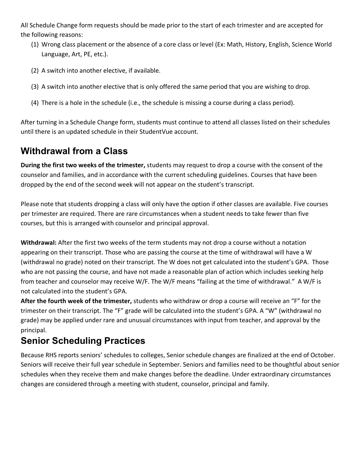All Schedule Change form requests should be made prior to the start of each trimester and are accepted for the following reasons:

- (1) Wrong class placement or the absence of a core class or level (Ex: Math, History, English, Science World Language, Art, PE, etc.).
- (2) A switch into another elective, if available.
- (3) A switch into another elective that is only offered the same period that you are wishing to drop.
- (4) There is a hole in the schedule (i.e., the schedule is missing a course during a class period).

After turning in a Schedule Change form, students must continue to attend all classes listed on their schedules until there is an updated schedule in their StudentVue account.

# **Withdrawal from a Class**

**During the first two weeks of the trimester,** students may request to drop a course with the consent of the counselor and families, and in accordance with the current scheduling guidelines. Courses that have been dropped by the end of the second week will not appear on the student's transcript.

Please note that students dropping a class will only have the option if other classes are available. Five courses per trimester are required. There are rare circumstances when a student needs to take fewer than five courses, but this is arranged with counselor and principal approval.

**Withdrawal:** After the first two weeks of the term students may not drop a course without a notation appearing on their transcript. Those who are passing the course at the time of withdrawal will have a W (withdrawal no grade) noted on their transcript. The W does not get calculated into the student's GPA. Those who are not passing the course, and have not made a reasonable plan of action which includes seeking help from teacher and counselor may receive W/F. The W/F means "failing at the time of withdrawal." A W/F is not calculated into the student's GPA.

**After the fourth week of the trimester,** students who withdraw or drop a course will receive an "F" for the trimester on their transcript. The "F" grade will be calculated into the student's GPA. A "W" (withdrawal no grade) may be applied under rare and unusual circumstances with input from teacher, and approval by the principal.

# **Senior Scheduling Practices**

Because RHS reports seniors' schedules to colleges, Senior schedule changes are finalized at the end of October. Seniors will receive their full year schedule in September. Seniors and families need to be thoughtful about senior schedules when they receive them and make changes before the deadline. Under extraordinary circumstances changes are considered through a meeting with student, counselor, principal and family.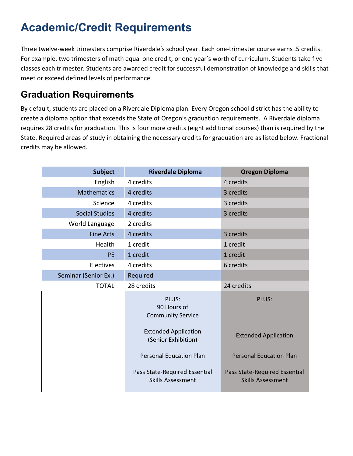# **Academic/Credit Requirements**

Three twelve-week trimesters comprise Riverdale's school year. Each one-trimester course earns .5 credits. For example, two trimesters of math equal one credit, or one year's worth of curriculum. Students take five classes each trimester. Students are awarded credit for successful demonstration of knowledge and skills that meet or exceed defined levels of performance.

# **Graduation Requirements**

By default, students are placed on a Riverdale Diploma plan. Every Oregon school district has the ability to create a diploma option that exceeds the State of Oregon's graduation requirements. A Riverdale diploma requires 28 credits for graduation. This is four more credits (eight additional courses) than is required by the State. Required areas of study in obtaining the necessary credits for graduation are as listed below. Fractional credits may be allowed.

| <b>Subject</b>        | <b>Riverdale Diploma</b>                                  | <b>Oregon Diploma</b>                                     |
|-----------------------|-----------------------------------------------------------|-----------------------------------------------------------|
| English               | 4 credits                                                 | 4 credits                                                 |
| <b>Mathematics</b>    | 4 credits                                                 | 3 credits                                                 |
| Science               | 4 credits                                                 | 3 credits                                                 |
| <b>Social Studies</b> | 4 credits                                                 | 3 credits                                                 |
| World Language        | 2 credits                                                 |                                                           |
| <b>Fine Arts</b>      | 4 credits                                                 | 3 credits                                                 |
| Health                | 1 credit                                                  | 1 credit                                                  |
| PE                    | 1 credit                                                  | 1 credit                                                  |
| Electives             | 4 credits                                                 | 6 credits                                                 |
| Seminar (Senior Ex.)  | Required                                                  |                                                           |
| <b>TOTAL</b>          | 28 credits                                                | 24 credits                                                |
|                       | PLUS:<br>90 Hours of<br><b>Community Service</b>          | PLUS:                                                     |
|                       | <b>Extended Application</b><br>(Senior Exhibition)        | <b>Extended Application</b>                               |
|                       | <b>Personal Education Plan</b>                            | <b>Personal Education Plan</b>                            |
|                       | Pass State-Required Essential<br><b>Skills Assessment</b> | Pass State-Required Essential<br><b>Skills Assessment</b> |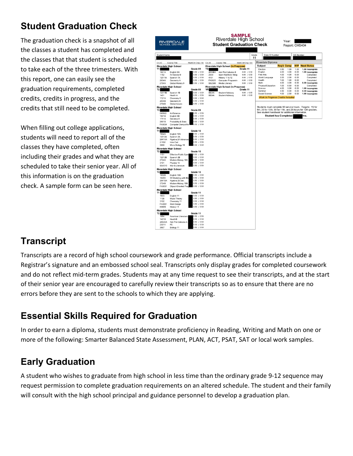# **Student Graduation Check**

The graduation check is a snapshot of all the classes a student has completed and the classes that that student is scheduled to take each of the three trimesters. With this report, one can easily see the graduation requirements, completed credits, credits in progress, and the credits that still need to be completed.

When filling out college applications, students will need to report all of the classes they have completed, often including their grades and what they are scheduled to take their senior year. All of this information is on the graduation check. A sample form can be seen here.



# **Transcript**

Transcripts are a record of high school coursework and grade performance. Official transcripts include a Registrar's signature and an embossed school seal. Transcripts only display grades for completed coursework and do not reflect mid-term grades. Students may at any time request to see their transcripts, and at the start of their senior year are encouraged to carefully review their transcripts so as to ensure that there are no errors before they are sent to the schools to which they are applying.

# **Essential Skills Required for Graduation**

In order to earn a diploma, students must demonstrate proficiency in Reading, Writing and Math on one or more of the following: Smarter Balanced State Assessment, PLAN, ACT, PSAT, SAT or local work samples.

# **Early Graduation**

A student who wishes to graduate from high school in less time than the ordinary grade 9-12 sequence may request permission to complete graduation requirements on an altered schedule. The student and their family will consult with the high school principal and guidance personnel to develop a graduation plan.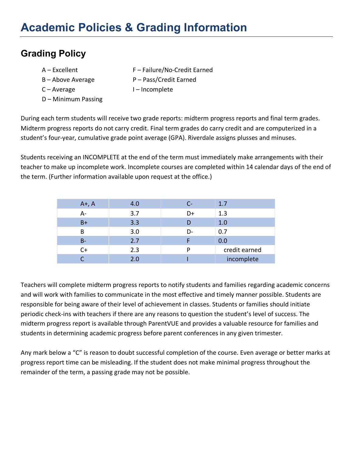# **Grading Policy**

- 
- 
- 
- D Minimum Passing
- A Excellent F Failure/No-Credit Earned
- B Above Average P Pass/Credit Earned
- C Average T Incomplete

During each term students will receive two grade reports: midterm progress reports and final term grades. Midterm progress reports do not carry credit. Final term grades do carry credit and are computerized in a student's four-year, cumulative grade point average (GPA). Riverdale assigns plusses and minuses.

Students receiving an INCOMPLETE at the end of the term must immediately make arrangements with their teacher to make up incomplete work. Incomplete courses are completed within 14 calendar days of the end of the term. (Further information available upon request at the office.)

| $A+$ , A | 4.0 |    | 1.7           |
|----------|-----|----|---------------|
| A-       | 3.7 | D+ | 1.3           |
| $B+$     | 3.3 | D  | 1.0           |
| B        | 3.0 | D- | 0.7           |
| $B -$    | 2.7 |    | 0.0           |
| $C+$     | 2.3 | D  | credit earned |
|          | 2.0 |    | incomplete    |

Teachers will complete midterm progress reports to notify students and families regarding academic concerns and will work with families to communicate in the most effective and timely manner possible. Students are responsible for being aware of their level of achievement in classes. Students or families should initiate periodic check-ins with teachers if there are any reasons to question the student's level of success. The midterm progress report is available through ParentVUE and provides a valuable resource for families and students in determining academic progress before parent conferences in any given trimester.

Any mark below a "C" is reason to doubt successful completion of the course. Even average or better marks at progress report time can be misleading. If the student does not make minimal progress throughout the remainder of the term, a passing grade may not be possible.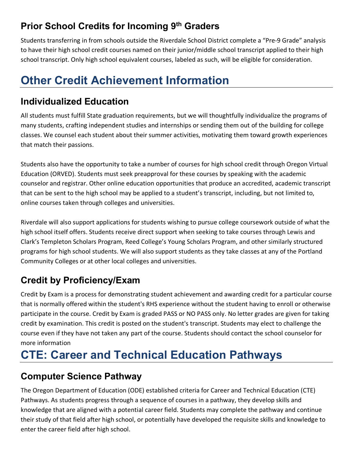# **Prior School Credits for Incoming 9th Graders**

Students transferring in from schools outside the Riverdale School District complete a "Pre-9 Grade" analysis to have their high school credit courses named on their junior/middle school transcript applied to their high school transcript. Only high school equivalent courses, labeled as such, will be eligible for consideration.

# **Other Credit Achievement Information**

# **Individualized Education**

All students must fulfill State graduation requirements, but we will thoughtfully individualize the programs of many students, crafting independent studies and internships or sending them out of the building for college classes. We counsel each student about their summer activities, motivating them toward growth experiences that match their passions.

Students also have the opportunity to take a number of courses for high school credit through Oregon Virtual Education (ORVED). Students must seek preapproval for these courses by speaking with the academic counselor and registrar. Other online education opportunities that produce an accredited, academic transcript that can be sent to the high school may be applied to a student's transcript, including, but not limited to, online courses taken through colleges and universities.

Riverdale will also support applications for students wishing to pursue college coursework outside of what the high school itself offers. Students receive direct support when seeking to take courses through Lewis and Clark's Templeton Scholars Program, Reed College's Young Scholars Program, and other similarly structured programs for high school students. We will also support students as they take classes at any of the Portland Community Colleges or at other local colleges and universities.

# **Credit by Proficiency/Exam**

Credit by Exam is a process for demonstrating student achievement and awarding credit for a particular course that is normally offered within the student's RHS experience without the student having to enroll or otherwise participate in the course. Credit by Exam is graded PASS or NO PASS only. No letter grades are given for taking credit by examination. This credit is posted on the student's transcript. Students may elect to challenge the course even if they have not taken any part of the course. Students should contact the school counselor for more information

# **CTE: Career and Technical Education Pathways**

# **Computer Science Pathway**

The Oregon Department of Education (ODE) established criteria for Career and Technical Education (CTE) Pathways. As students progress through a sequence of courses in a pathway, they develop skills and knowledge that are aligned with a potential career field. Students may complete the pathway and continue their study of that field after high school, or potentially have developed the requisite skills and knowledge to enter the career field after high school.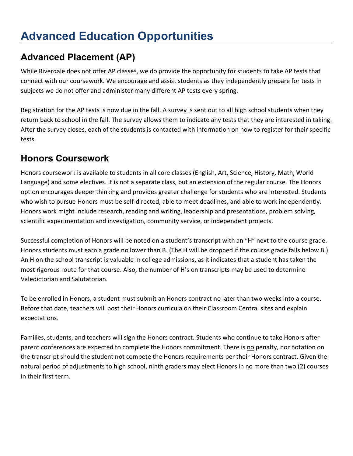# **Advanced Education Opportunities**

# **Advanced Placement (AP)**

While Riverdale does not offer AP classes, we do provide the opportunity for students to take AP tests that connect with our coursework. We encourage and assist students as they independently prepare for tests in subjects we do not offer and administer many different AP tests every spring.

Registration for the AP tests is now due in the fall. A survey is sent out to all high school students when they return back to school in the fall. The survey allows them to indicate any tests that they are interested in taking. After the survey closes, each of the students is contacted with information on how to register for their specific tests.

### **Honors Coursework**

Honors coursework is available to students in all core classes (English, Art, Science, History, Math, World Language) and some electives. It is not a separate class, but an extension of the regular course. The Honors option encourages deeper thinking and provides greater challenge for students who are interested. Students who wish to pursue Honors must be self-directed, able to meet deadlines, and able to work independently. Honors work might include research, reading and writing, leadership and presentations, problem solving, scientific experimentation and investigation, community service, or independent projects.

Successful completion of Honors will be noted on a student's transcript with an "H" next to the course grade. Honors students must earn a grade no lower than B. (The H will be dropped if the course grade falls below B.) An H on the school transcript is valuable in college admissions, as it indicates that a student has taken the most rigorous route for that course. Also, the number of H's on transcripts may be used to determine Valedictorian and Salutatorian.

To be enrolled in Honors, a student must submit an Honors contract no later than two weeks into a course. Before that date, teachers will post their Honors curricula on their Classroom Central sites and explain expectations.

Families, students, and teachers will sign the Honors contract. Students who continue to take Honors after parent conferences are expected to complete the Honors commitment. There is no penalty, nor notation on the transcript should the student not compete the Honors requirements per their Honors contract. Given the natural period of adjustments to high school, ninth graders may elect Honors in no more than two (2) courses in their first term.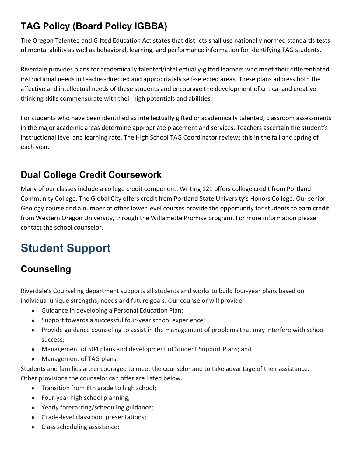# **TAG Policy (Board Policy IGBBA)**

The Oregon Talented and Gifted Education Act states that districts shall use nationally normed standards tests of mental ability as well as behavioral, learning, and performance information for identifying TAG students.

Riverdale provides plans for academically talented/intellectually-gifted learners who meet their differentiated instructional needs in teacher-directed and appropriately self-selected areas. These plans address both the affective and intellectual needs of these students and encourage the development of critical and creative thinking skills commensurate with their high potentials and abilities.

For students who have been identified as intellectually gifted or academically talented, classroom assessments in the major academic areas determine appropriate placement and services. Teachers ascertain the student's instructional level and learning rate. The High School TAG Coordinator reviews this in the fall and spring of each year.

# **Dual College Credit Coursework**

Many of our classes include a college credit component. Writing 121 offers college credit from Portland Community College. The Global City offers credit from Portland State University's Honors College. Our senior Geology course and a number of other lower level courses provide the opportunity for students to earn credit from Western Oregon University, through the Willamette Promise program. For more information please contact the school counselor.

# **Student Support**

# **Counseling**

Riverdale's Counseling department supports all students and works to build four-year plans based on individual unique strengths, needs and future goals. Our counselor will provide:

- Guidance in developing a Personal Education Plan;
- Support towards a successful four-year school experience;
- Provide guidance counseling to assist in the management of problems that may interfere with school success;
- Management of 504 plans and development of Student Support Plans; and
- Management of TAG plans.

Students and families are encouraged to meet the counselor and to take advantage of their assistance. Other provisions the counselor can offer are listed below.

- Transition from 8th grade to high school;
- Four-year high school planning;
- Yearly forecasting/scheduling guidance;
- Grade-level classroom presentations;
- Class scheduling assistance;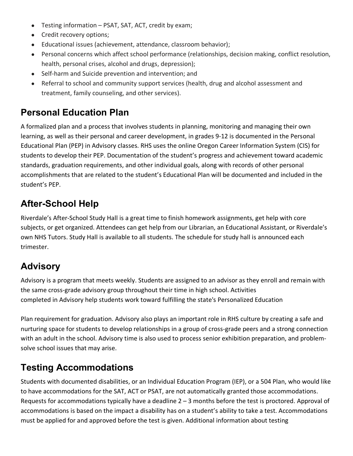- Testing information PSAT, SAT, ACT, credit by exam;
- Credit recovery options;
- Educational issues (achievement, attendance, classroom behavior);
- Personal concerns which affect school performance (relationships, decision making, conflict resolution, health, personal crises, alcohol and drugs, depression);
- Self-harm and Suicide prevention and intervention; and
- Referral to school and community support services (health, drug and alcohol assessment and treatment, family counseling, and other services).

# **Personal Education Plan**

A formalized plan and a process that involves students in planning, monitoring and managing their own learning, as well as their personal and career development, in grades 9-12 is documented in the Personal Educational Plan (PEP) in Advisory classes. RHS uses the online Oregon Career Information System (CIS) for students to develop their PEP. Documentation of the student's progress and achievement toward academic standards, graduation requirements, and other individual goals, along with records of other personal accomplishments that are related to the student's Educational Plan will be documented and included in the student's PEP.

# **After-School Help**

Riverdale's After-School Study Hall is a great time to finish homework assignments, get help with core subjects, or get organized. Attendees can get help from our Librarian, an Educational Assistant, or Riverdale's own NHS Tutors. Study Hall is available to all students. The schedule for study hall is announced each trimester.

# **Advisory**

Advisory is a program that meets weekly. Students are assigned to an advisor as they enroll and remain with the same cross-grade advisory group throughout their time in high school. Activities completed in Advisory help students work toward fulfilling the state's Personalized Education

Plan requirement for graduation. Advisory also plays an important role in RHS culture by creating a safe and nurturing space for students to develop relationships in a group of cross-grade peers and a strong connection with an adult in the school. Advisory time is also used to process senior exhibition preparation, and problemsolve school issues that may arise.

# **Testing Accommodations**

Students with documented disabilities, or an Individual Education Program (IEP), or a 504 Plan, who would like to have accommodations for the SAT, ACT or PSAT, are not automatically granted those accommodations. Requests for accommodations typically have a deadline 2 – 3 months before the test is proctored. Approval of accommodations is based on the impact a disability has on a student's ability to take a test. Accommodations must be applied for and approved before the test is given. Additional information about testing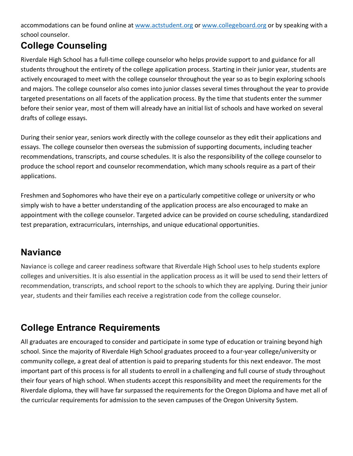accommodations can be found online at www.actstudent.org or www.collegeboard.org or by speaking with a school counselor.

# **College Counseling**

Riverdale High School has a full-time college counselor who helps provide support to and guidance for all students throughout the entirety of the college application process. Starting in their junior year, students are actively encouraged to meet with the college counselor throughout the year so as to begin exploring schools and majors. The college counselor also comes into junior classes several times throughout the year to provide targeted presentations on all facets of the application process. By the time that students enter the summer before their senior year, most of them will already have an initial list of schools and have worked on several drafts of college essays.

During their senior year, seniors work directly with the college counselor as they edit their applications and essays. The college counselor then overseas the submission of supporting documents, including teacher recommendations, transcripts, and course schedules. It is also the responsibility of the college counselor to produce the school report and counselor recommendation, which many schools require as a part of their applications.

Freshmen and Sophomores who have their eye on a particularly competitive college or university or who simply wish to have a better understanding of the application process are also encouraged to make an appointment with the college counselor. Targeted advice can be provided on course scheduling, standardized test preparation, extracurriculars, internships, and unique educational opportunities.

# **Naviance**

Naviance is college and career readiness software that Riverdale High School uses to help students explore colleges and universities. It is also essential in the application process as it will be used to send their letters of recommendation, transcripts, and school report to the schools to which they are applying. During their junior year, students and their families each receive a registration code from the college counselor.

# **College Entrance Requirements**

All graduates are encouraged to consider and participate in some type of education or training beyond high school. Since the majority of Riverdale High School graduates proceed to a four-year college/university or community college, a great deal of attention is paid to preparing students for this next endeavor. The most important part of this process is for all students to enroll in a challenging and full course of study throughout their four years of high school. When students accept this responsibility and meet the requirements for the Riverdale diploma, they will have far surpassed the requirements for the Oregon Diploma and have met all of the curricular requirements for admission to the seven campuses of the Oregon University System.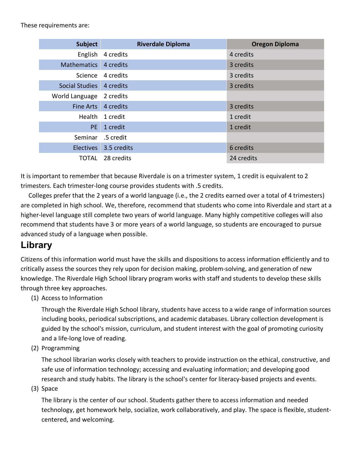These requirements are:

| <b>Subject</b>   | <b>Riverdale Diploma</b> | <b>Oregon Diploma</b> |
|------------------|--------------------------|-----------------------|
| English          | 4 credits                | 4 credits             |
| Mathematics      | 4 credits                | 3 credits             |
| <b>Science</b>   | 4 credits                | 3 credits             |
| Social Studies   | 4 credits                | 3 credits             |
| World Language   | 2 credits                |                       |
| Fine Arts        | 4 credits                | 3 credits             |
| Health           | 1 credit                 | 1 credit              |
| <b>PE</b>        | 1 credit                 | 1 credit              |
| Seminar          | .5 credit                |                       |
| <b>Electives</b> | 3.5 credits              | 6 credits             |
| TOTAL            | 28 credits               | 24 credits            |

It is important to remember that because Riverdale is on a trimester system, 1 credit is equivalent to 2 trimesters. Each trimester-long course provides students with .5 credits.

 Colleges prefer that the 2 years of a world language (i.e., the 2 credits earned over a total of 4 trimesters) are completed in high school. We, therefore, recommend that students who come into Riverdale and start at a higher-level language still complete two years of world language. Many highly competitive colleges will also recommend that students have 3 or more years of a world language, so students are encouraged to pursue advanced study of a language when possible.

### **Library**

Citizens of this information world must have the skills and dispositions to access information efficiently and to critically assess the sources they rely upon for decision making, problem-solving, and generation of new knowledge. The Riverdale High School library program works with staff and students to develop these skills through three key approaches.

(1) Access to Information

Through the Riverdale High School library, students have access to a wide range of information sources including books, periodical subscriptions, and academic databases. Library collection development is guided by the school's mission, curriculum, and student interest with the goal of promoting curiosity and a life-long love of reading.

(2) Programming

The school librarian works closely with teachers to provide instruction on the ethical, constructive, and safe use of information technology; accessing and evaluating information; and developing good research and study habits. The library is the school's center for literacy-based projects and events.

(3) Space

The library is the center of our school. Students gather there to access information and needed technology, get homework help, socialize, work collaboratively, and play. The space is flexible, studentcentered, and welcoming.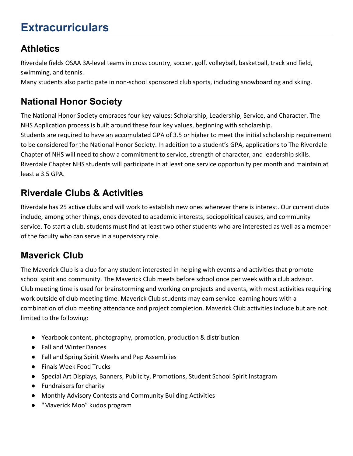# **Extracurriculars**

# **Athletics**

Riverdale fields OSAA 3A-level teams in cross country, soccer, golf, volleyball, basketball, track and field, swimming, and tennis.

Many students also participate in non-school sponsored club sports, including snowboarding and skiing.

# **National Honor Society**

The National Honor Society embraces four key values: Scholarship, Leadership, Service, and Character. The NHS Application process is built around these four key values, beginning with scholarship. Students are required to have an accumulated GPA of 3.5 or higher to meet the initial scholarship requirement to be considered for the National Honor Society. In addition to a student's GPA, applications to The Riverdale Chapter of NHS will need to show a commitment to service, strength of character, and leadership skills. Riverdale Chapter NHS students will participate in at least one service opportunity per month and maintain at least a 3.5 GPA.

# **Riverdale Clubs & Activities**

Riverdale has 25 active clubs and will work to establish new ones wherever there is interest. Our current clubs include, among other things, ones devoted to academic interests, sociopolitical causes, and community service. To start a club, students must find at least two other students who are interested as well as a member of the faculty who can serve in a supervisory role.

# **Maverick Club**

The Maverick Club is a club for any student interested in helping with events and activities that promote school spirit and community. The Maverick Club meets before school once per week with a club advisor. Club meeting time is used for brainstorming and working on projects and events, with most activities requiring work outside of club meeting time. Maverick Club students may earn service learning hours with a combination of club meeting attendance and project completion. Maverick Club activities include but are not limited to the following:

- Yearbook content, photography, promotion, production & distribution
- Fall and Winter Dances
- Fall and Spring Spirit Weeks and Pep Assemblies
- Finals Week Food Trucks
- Special Art Displays, Banners, Publicity, Promotions, Student School Spirit Instagram
- Fundraisers for charity
- Monthly Advisory Contests and Community Building Activities
- "Maverick Moo" kudos program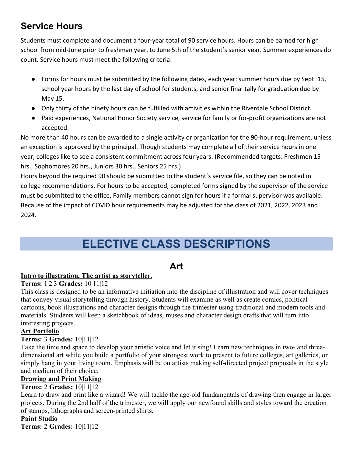# **Service Hours**

Students must complete and document a four-year total of 90 service hours. Hours can be earned for high school from mid-June prior to freshman year, to June 5th of the student's senior year. Summer experiences do count. Service hours must meet the following criteria:

- Forms for hours must be submitted by the following dates, each year: summer hours due by Sept. 15, school year hours by the last day of school for students, and senior final tally for graduation due by May 15.
- Only thirty of the ninety hours can be fulfilled with activities within the Riverdale School District.
- Paid experiences, National Honor Society service, service for family or for-profit organizations are not accepted.

No more than 40 hours can be awarded to a single activity or organization for the 90-hour requirement, unless an exception is approved by the principal. Though students may complete all of their service hours in one year, colleges like to see a consistent commitment across four years. (Recommended targets: Freshmen 15 hrs., Sophomores 20 hrs., Juniors 30 hrs., Seniors 25 hrs.)

Hours beyond the required 90 should be submitted to the student's service file, so they can be noted in college recommendations. For hours to be accepted, completed forms signed by the supervisor of the service must be submitted to the office. Family members cannot sign for hours if a formal supervisor was available. Because of the impact of COVID hour requirements may be adjusted for the class of 2021, 2022, 2023 and 2024.

# **ELECTIVE CLASS DESCRIPTIONS**

# **Art**

#### **Intro to illustration. The artist as storyteller.**

**Terms:** 1|2|3 **Grades:** 10|11|12

This class is designed to be an informative initiation into the discipline of illustration and will cover techniques that convey visual storytelling through history. Students will examine as well as create comics, political cartoons, book illustrations and character designs through the trimester using traditional and modern tools and materials. Students will keep a sketchbook of ideas, muses and character design drafts that will turn into interesting projects.

#### **Art Portfolio**

#### **Terms:** 3 **Grades:** 10|11|12

Take the time and space to develop your artistic voice and let it sing! Learn new techniques in two- and threedimensional art while you build a portfolio of your strongest work to present to future colleges, art galleries, or simply hang in your living room. Emphasis will be on artists making self-directed project proposals in the style and medium of their choice.

#### **Drawing and Print Making**

#### **Terms:** 2 **Grades:** 10|11|12

Learn to draw and print like a wizard! We will tackle the age-old fundamentals of drawing then engage in larger projects. During the 2nd half of the trimester, we will apply our newfound skills and styles toward the creation of stamps, lithographs and screen-printed shirts.

#### **Paint Studio**

**Terms:** 2 **Grades:** 10|11|12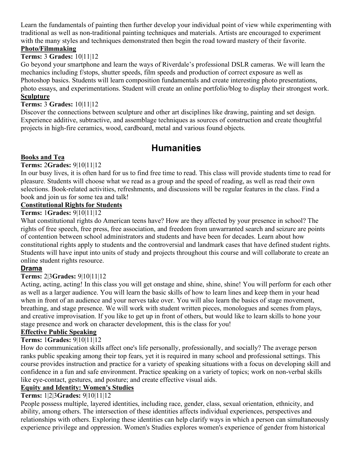Learn the fundamentals of painting then further develop your individual point of view while experimenting with traditional as well as non-traditional painting techniques and materials. Artists are encouraged to experiment with the many styles and techniques demonstrated then begin the road toward mastery of their favorite.

#### **Photo/Filmmaking**

#### **Terms:** 3 **Grades:** 10|11|12

Go beyond your smartphone and learn the ways of Riverdale's professional DSLR cameras. We will learn the mechanics including f/stops, shutter speeds, film speeds and production of correct exposure as well as Photoshop basics. Students will learn composition fundamentals and create interesting photo presentations, photo essays, and experimentations. Student will create an online portfolio/blog to display their strongest work. **Sculpture**

#### **Terms:** 3 **Grades:** 10|11|12

Discover the connections between sculpture and other art disciplines like drawing, painting and set design. Experience additive, subtractive, and assemblage techniques as sources of construction and create thoughtful projects in high-fire ceramics, wood, cardboard, metal and various found objects.

### **Humanities**

#### **Books and Tea**

#### **Terms:** 2**Grades:** 9|10|11|12

In our busy lives, it is often hard for us to find free time to read. This class will provide students time to read for pleasure. Students will choose what we read as a group and the speed of reading, as well as read their own selections. Book-related activities, refreshments, and discussions will be regular features in the class. Find a book and join us for some tea and talk!

#### **Constitutional Rights for Students**

#### **Terms:** 1**Grades:** 9|10|11|12

What constitutional rights do American teens have? How are they affected by your presence in school? The rights of free speech, free press, free association, and freedom from unwarranted search and seizure are points of contention between school administrators and students and have been for decades. Learn about how constitutional rights apply to students and the controversial and landmark cases that have defined student rights. Students will have input into units of study and projects throughout this course and will collaborate to create an online student rights resource.

#### **Drama**

#### **Terms:** 2|3**Grades:** 9|10|11|12

Acting, acting, acting! In this class you will get onstage and shine, shine, shine! You will perform for each other as well as a larger audience. You will learn the basic skills of how to learn lines and keep them in your head when in front of an audience and your nerves take over. You will also learn the basics of stage movement, breathing, and stage presence. We will work with student written pieces, monologues and scenes from plays, and creative improvisation. If you like to get up in front of others, but would like to learn skills to hone your stage presence and work on character development, this is the class for you!

#### **Effective Public Speaking**

#### **Terms:** 1**Grades:** 9|10|11|12

How do communication skills affect one's life personally, professionally, and socially? The average person ranks public speaking among their top fears, yet it is required in many school and professional settings. This course provides instruction and practice for a variety of speaking situations with a focus on developing skill and confidence in a fun and safe environment. Practice speaking on a variety of topics; work on non-verbal skills like eye-contact, gestures, and posture; and create effective visual aids.

#### **Equity and Identity: Women's Studies**

#### **Terms:** 1|2|3**Grades:** 9|10|11|12

People possess multiple, layered identities, including race, gender, class, sexual orientation, ethnicity, and ability, among others. The intersection of these identities affects individual experiences, perspectives and relationships with others. Exploring these identities can help clarify ways in which a person can simultaneously experience privilege and oppression. Women's Studies explores women's experience of gender from historical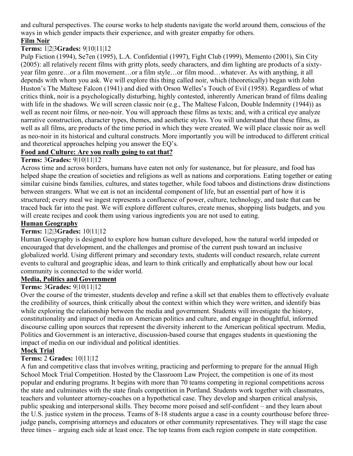and cultural perspectives. The course works to help students navigate the world around them, conscious of the ways in which gender impacts their experience, and with greater empathy for others.

#### **Film Noir**

#### **Terms:** 1|2|3**Grades:** 9|10|11|12

Pulp Fiction (1994), Se7en (1995), L.A. Confidential (1997), Fight Club (1999), Memento (2001), Sin City (2005): all relatively recent films with gritty plots, seedy characters, and dim lighting are products of a sixtyyear film genre…or a film movement…or a film style…or film mood…whatever. As with anything, it all depends with whom you ask. We will explore this thing called noir, which (theoretically) began with John Huston's The Maltese Falcon (1941) and died with Orson Welles's Touch of Evil (1958). Regardless of what critics think, noir is a psychologically disturbing, highly contested, inherently American brand of films dealing with life in the shadows. We will screen classic noir (e.g., The Maltese Falcon, Double Indemnity (1944)) as well as recent noir films, or neo-noir. You will approach these films as texts; and, with a critical eye analyze narrative construction, character types, themes, and aesthetic styles. You will understand that these films, as well as all films, are products of the time period in which they were created. We will place classic noir as well as neo-noir in its historical and cultural constructs. More importantly you will be introduced to different critical and theoretical approaches helping you answer the EQ's.

#### **Food and Culture: Are you really going to eat that?**

#### **Terms:** 3**Grades:** 9|10|11|12

Across time and across borders, humans have eaten not only for sustenance, but for pleasure, and food has helped shape the creation of societies and religions as well as nations and corporations. Eating together or eating similar cuisine binds families, cultures, and states together, while food taboos and distinctions draw distinctions between strangers. What we eat is not an incidental component of life, but an essential part of how it is structured; every meal we ingest represents a confluence of power, culture, technology, and taste that can be traced back far into the past. We will explore different cultures, create menus, shopping lists budgets, and you will create recipes and cook them using various ingredients you are not used to eating.

#### **Human Geography**

#### **Terms:** 1|2|3**Grades:** 10|11|12

Human Geography is designed to explore how human culture developed, how the natural world impeded or encouraged that development, and the challenges and promise of the current push toward an inclusive globalized world. Using different primary and secondary texts, students will conduct research, relate current events to cultural and geographic ideas, and learn to think critically and emphatically about how our local community is connected to the wider world.

#### **Media, Politics and Government**

#### **Terms:** 3**Grades:** 9|10|11|12

Over the course of the trimester, students develop and refine a skill set that enables them to effectively evaluate the credibility of sources, think critically about the context within which they were written, and identify bias while exploring the relationship between the media and government. Students will investigate the history, constitutionality and impact of media on American politics and culture, and engage in thoughtful, informed discourse calling upon sources that represent the diversity inherent to the American political spectrum. Media, Politics and Government is an interactive, discussion-based course that engages students in questioning the impact of media on our individual and political identities.

#### **Mock Trial**

#### **Terms:** 2 **Grades:** 10|11|12

A fun and competitive class that involves writing, practicing and performing to prepare for the annual High School Mock Trial Competition. Hosted by the Classroom Law Project, the competition is one of its most popular and enduring programs. It begins with more than 70 teams competing in regional competitions across the state and culminates with the state finals competition in Portland. Students work together with classmates, teachers and volunteer attorney-coaches on a hypothetical case. They develop and sharpen critical analysis, public speaking and interpersonal skills. They become more poised and self-confident – and they learn about the U.S. justice system in the process. Teams of 8-18 students argue a case in a county courthouse before threejudge panels, comprising attorneys and educators or other community representatives. They will stage the case three times – arguing each side at least once. The top teams from each region compete in state competition.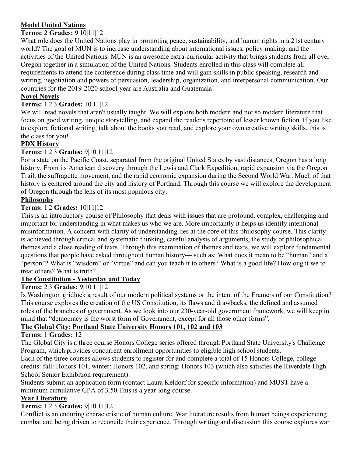#### **Model United Nations**

#### **Terms:** 2 **Grades:** 9|10|11|12

What role does the United Nations play in promoting peace, sustainability, and human rights in a 21st century world? The goal of MUN is to increase understanding about international issues, policy making, and the activities of the United Nations. MUN is an awesome extra-curricular activity that brings students from all over Oregon together in a simulation of the United Nations. Students enrolled in this class will complete all requirements to attend the conference during class time and will gain skills in public speaking, research and writing, negotiation and powers of persuasion, leadership, organization, and interpersonal communication. Our countries for the 2019-2020 school year are Australia and Guatemala!

#### **Novel Novels**

#### **Terms:** 1|2|3 **Grades:** 10|11|12

We will read novels that aren't usually taught. We will explore both modern and not so modern literature that focus on good writing, unique storytelling, and expand the reader's repertoire of lesser known fiction. If you like to explore fictional writing, talk about the books you read, and explore your own creative writing skills, this is the class for you!

#### **PDX History**

#### **Terms:** 1|2|3 **Grades:** 9|10|11|12

For a state on the Pacific Coast, separated from the original United States by vast distances, Oregon has a long history. From its American discovery through the Lewis and Clark Expedition, rapid expansion via the Oregon Trail, the suffragette movement, and the rapid economic expansion during the Second World War. Much of that history is centered around the city and history of Portland. Through this course we will explore the development of Oregon through the lens of its most populous city.

#### **Philosophy**

#### **Terms:** 1|2 **Grades:** 10|11|12

This is an introductory course of Philosophy that deals with issues that are profound, complex, challenging and important for understanding in what makes us who we are. More importantly it helps us identify intentional misinformation. A concern with clarity of understanding lies at the core of this philosophy course. This clarity is achieved through critical and systematic thinking, careful analysis of arguments, the study of philosophical themes and a close reading of texts. Through this examination of themes and texts, we will explore fundamental questions that people have asked throughout human history— such as: What does it mean to be "human" and a "person"? What is "wisdom" or "virtue" and can you teach it to others? What is a good life? How ought we to treat others? What is truth?

#### **The Constitution - Yesterday and Today**

#### **Terms:** 2|3 **Grades:** 9|10|11|12

Is Washington gridlock a result of our modern political systems or the intent of the Framers of our Constitution? This course explores the creation of the US Constitution, its flaws and drawbacks, the defined and assumed roles of the branches of government. As we look into our 230-year-old government framework, we will keep in mind that "democracy is the worst form of Government, except for all those other forms".

#### **The Global City: Portland State University Honors 101, 102 and 103**

#### **Terms:** 1 **Grades:** 12

The Global City is a three course Honors College series offered through Portland State University's Challenge Program, which provides concurrent enrollment opportunities to eligible high school students.

Each of the three courses allows students to register for and complete a total of 15 Honors College, college credits: fall: Honors 101, winter: Honors 102, and spring: Honors 103 (which also satisfies the Riverdale High School Senior Exhibition requirement).

Students submit an application form (contact Laura Keldorf for specific information) and MUST have a minimum cumulative GPA of 3.50.This is a year-long course.

#### **War Literature**

#### **Terms:** 1|2|3 **Grades:** 9|10|11|12

Conflict is an enduring characteristic of human culture. War literature results from human beings experiencing combat and being driven to reconcile their experience. Through writing and discussion this course explores war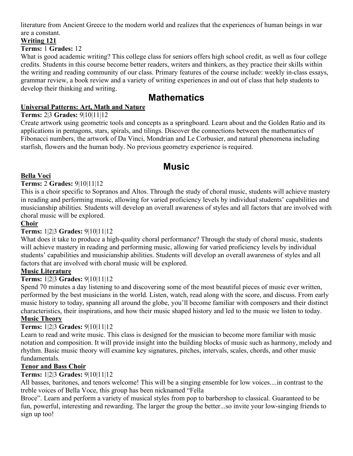literature from Ancient Greece to the modern world and realizes that the experiences of human beings in war are a constant.

#### **Writing 121**

#### **Terms:** 1 **Grades:** 12

What is good academic writing? This college class for seniors offers high school credit, as well as four college credits. Students in this course become better readers, writers and thinkers, as they practice their skills within the writing and reading community of our class. Primary features of the course include: weekly in-class essays, grammar review, a book review and a variety of writing experiences in and out of class that help students to develop their thinking and writing.

### **Mathematics**

#### **Universal Patterns: Art, Math and Nature**

#### **Terms:** 2|3 **Grades:** 9|10|11|12

Create artwork using geometric tools and concepts as a springboard. Learn about and the Golden Ratio and its applications in pentagons, stars, spirals, and tilings. Discover the connections between the mathematics of Fibonacci numbers, the artwork of Da Vinci, Mondrian and Le Corbusier, and natural phenomena including starfish, flowers and the human body. No previous geometry experience is required.

### **Music**

#### **Bella Voci**

#### **Terms:** 2 **Grades:** 9|10|11|12

This is a choir specific to Sopranos and Altos. Through the study of choral music, students will achieve mastery in reading and performing music, allowing for varied proficiency levels by individual students' capabilities and musicianship abilities. Students will develop an overall awareness of styles and all factors that are involved with choral music will be explored.

#### **Choir**

#### **Terms:** 1|2|3 **Grades:** 9|10|11|12

What does it take to produce a high-quality choral performance? Through the study of choral music, students will achieve mastery in reading and performing music, allowing for varied proficiency levels by individual students' capabilities and musicianship abilities. Students will develop an overall awareness of styles and all factors that are involved with choral music will be explored.

#### **Music Literature**

#### **Terms:** 1|2|3 **Grades:** 9|10|11|12

Spend 70 minutes a day listening to and discovering some of the most beautiful pieces of music ever written, performed by the best musicians in the world. Listen, watch, read along with the score, and discuss. From early music history to today, spanning all around the globe, you'll become familiar with composers and their distinct characteristics, their inspirations, and how their music shaped history and led to the music we listen to today.

#### **Music Theory**

#### **Terms:** 1|2|3 **Grades:** 9|10|11|12

Learn to read and write music. This class is designed for the musician to become more familiar with music notation and composition. It will provide insight into the building blocks of music such as harmony, melody and rhythm. Basic music theory will examine key signatures, pitches, intervals, scales, chords, and other music fundamentals.

#### **Tenor and Bass Choir**

#### **Terms:** 1|2|3 **Grades:** 9|10|11|12

All basses, baritones, and tenors welcome! This will be a singing ensemble for low voices....in contrast to the treble voices of Bella Voce, this group has been nicknamed "Fella

Broce". Learn and perform a variety of musical styles from pop to barbershop to classical. Guaranteed to be fun, powerful, interesting and rewarding. The larger the group the better...so invite your low-singing friends to sign up too!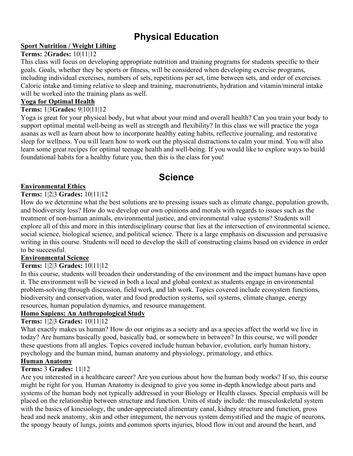# **Physical Education**

#### **Sport Nutrition / Weight Lifting**

#### **Terms:** 2**Grades:** 10|11|12

This class will focus on developing appropriate nutrition and training programs for students specific to their goals. Goals, whether they be sports or fitness, will be considered when developing exercise programs, including individual exercises, numbers of sets, repetitions per set, time between sets, and order of exercises. Caloric intake and timing relative to sleep and training, macronutrients, hydration and vitamin/mineral intake will be worked into the training plans as well.

#### **Yoga for Optimal Health**

#### **Terms:** 1|3**Grades:** 9|10|11|12

Yoga is great for your physical body, but what about your mind and overall health? Can you train your body to support optimal mental well-being as well as strength and flexibility? In this class we will practice the yoga asanas as well as learn about how to incorporate healthy eating habits, reflective journaling, and restorative sleep for wellness. You will learn how to work out the physical distractions to calm your mind. You will also learn some great recipes for optimal teenage health and well-being. If you would like to explore ways to build foundational habits for a healthy future you, then this is the class for you!

### **Science**

#### **Environmental Ethics**

#### **Terms:** 1|2|3 **Grades:** 10|11|12

How do we determine what the best solutions are to pressing issues such as climate change, population growth, and biodiversity loss? How do we develop our own opinions and morals with regards to issues such as the treatment of non-human animals, environmental justice, and environmental value systems? Students will explore all of this and more in this interdisciplinary course that lies at the intersection of environmental science, social science, biological science, and political science. There is a large emphasis on discussion and persuasive writing in this course. Students will need to develop the skill of constructing claims based on evidence in order to be successful.

#### **Environmental Science**

#### **Terms:** 1|2|3 **Grades:** 10|11|12

In this course, students will broaden their understanding of the environment and the impact humans have upon it. The environment will be viewed in both a local and global context as students engage in environmental problem-solving through discussion, field work, and lab work. Topics covered include ecosystem functions, biodiversity and conservation, water and food production systems, soil systems, climate change, energy resources, human population dynamics, and resource management.

#### **Homo Sapiens: An Anthropological Study**

#### **Terms:** 1|2|3 **Grades:** 10|11|12

What exactly makes us human? How do our origins as a society and as a species affect the world we live in today? Are humans basically good, basically bad, or somewhere in between? In this course, we will ponder these questions from all angles. Topics covered include human behavior, evolution, early human history, psychology and the human mind, human anatomy and physiology, primatology, and ethics.

#### **Human Anatomy**

#### **Terms:** 3 **Grades:** 11|12

Are you interested in a healthcare career? Are you curious about how the human body works? If so, this course might be right for you. Human Anatomy is designed to give you some in-depth knowledge about parts and systems of the human body not typically addressed in your Biology or Health classes. Special emphasis will be placed on the relationship between structure and function. Units of study include: the musculoskeletal system with the basics of kinesiology, the under-appreciated alimentary canal, kidney structure and function, gross head and neck anatomy, skin and other integument, the nervous system demystified and the magic of neurons, the spongy beauty of lungs, joints and common sports injuries, blood flow in/out and around the heart, and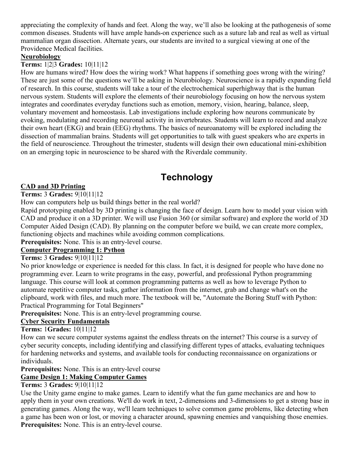appreciating the complexity of hands and feet. Along the way, we'll also be looking at the pathogenesis of some common diseases. Students will have ample hands-on experience such as a suture lab and real as well as virtual mammalian organ dissection. Alternate years, our students are invited to a surgical viewing at one of the Providence Medical facilities.

#### **Neurobiology**

#### **Terms:** 1|2|3 **Grades:** 10|11|12

How are humans wired? How does the wiring work? What happens if something goes wrong with the wiring? These are just some of the questions we'll be asking in Neurobiology. Neuroscience is a rapidly expanding field of research. In this course, students will take a tour of the electrochemical superhighway that is the human nervous system. Students will explore the elements of their neurobiology focusing on how the nervous system integrates and coordinates everyday functions such as emotion, memory, vision, hearing, balance, sleep, voluntary movement and homeostasis. Lab investigations include exploring how neurons communicate by evoking, modulating and recording neuronal activity in invertebrates. Students will learn to record and analyze their own heart (EKG) and brain (EEG) rhythms. The basics of neuroanatomy will be explored including the dissection of mammalian brains. Students will get opportunities to talk with guest speakers who are experts in the field of neuroscience. Throughout the trimester, students will design their own educational mini-exhibition on an emerging topic in neuroscience to be shared with the Riverdale community.

# **Technology**

#### **CAD and 3D Printing**

#### **Terms:** 3 **Grades:** 9|10|11|12

How can computers help us build things better in the real world?

Rapid prototyping enabled by 3D printing is changing the face of design. Learn how to model your vision with CAD and produce it on a 3D printer. We will use Fusion 360 (or similar software) and explore the world of 3D Computer Aided Design (CAD). By planning on the computer before we build, we can create more complex, functioning objects and machines while avoiding common complications.

**Prerequisites:** None. This is an entry-level course.

#### **Computer Programming 1: Python**

#### **Terms:** 3 **Grades:** 9|10|11|12

No prior knowledge or experience is needed for this class. In fact, it is designed for people who have done no programming ever. Learn to write programs in the easy, powerful, and professional Python programming language. This course will look at common programming patterns as well as how to leverage Python to automate repetitive computer tasks, gather information from the internet, grab and change what's on the clipboard, work with files, and much more. The textbook will be, "Automate the Boring Stuff with Python: Practical Programming for Total Beginners"

**Prerequisites:** None. This is an entry-level programming course.

#### **Cyber Security Fundamentals**

#### **Terms:** 1**Grades:** 10|11|12

How can we secure computer systems against the endless threats on the internet? This course is a survey of cyber security concepts, including identifying and classifying different types of attacks, evaluating techniques for hardening networks and systems, and available tools for conducting reconnaissance on organizations or individuals.

**Prerequisites:** None. This is an entry-level course

#### **Game Design 1: Making Computer Games**

#### **Terms:** 3 **Grades:** 9|10|11|12

Use the Unity game engine to make games. Learn to identify what the fun game mechanics are and how to apply them in your own creations. We'll do work in text, 2-dimensions and 3-dimensions to get a strong base in generating games. Along the way, we'll learn techniques to solve common game problems, like detecting when a game has been won or lost, or moving a character around, spawning enemies and vanquishing those enemies. **Prerequisites:** None. This is an entry-level course.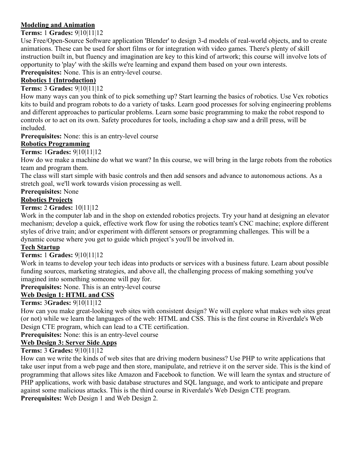#### **Modeling and Animation**

#### **Terms:** 1 **Grades:** 9|10|11|12

Use Free/Open-Source Software application 'Blender' to design 3-d models of real-world objects, and to create animations. These can be used for short films or for integration with video games. There's plenty of skill instruction built in, but fluency and imagination are key to this kind of artwork; this course will involve lots of opportunity to 'play' with the skills we're learning and expand them based on your own interests. **Prerequisites:** None. This is an entry-level course.

#### **Robotics 1 (Introduction)**

#### **Terms:** 3 **Grades:** 9|10|11|12

How many ways can you think of to pick something up? Start learning the basics of robotics. Use Vex robotics kits to build and program robots to do a variety of tasks. Learn good processes for solving engineering problems and different approaches to particular problems. Learn some basic programming to make the robot respond to controls or to act on its own. Safety procedures for tools, including a chop saw and a drill press, will be included.

**Prerequisites:** None: this is an entry-level course

#### **Robotics Programming**

#### **Terms:** 1**Grades:** 9|10|11|12

How do we make a machine do what we want? In this course, we will bring in the large robots from the robotics team and program them.

The class will start simple with basic controls and then add sensors and advance to autonomous actions. As a stretch goal, we'll work towards vision processing as well.

#### **Prerequisites:** None

#### **Robotics Projects**

**Terms:** 2 **Grades:** 10|11|12

Work in the computer lab and in the shop on extended robotics projects. Try your hand at designing an elevator mechanism; develop a quick, effective work flow for using the robotics team's CNC machine; explore different styles of drive train; and/or experiment with different sensors or programming challenges. This will be a dynamic course where you get to guide which project's you'll be involved in.

#### **Tech Startup**

#### **Terms:** 1 **Grades:** 9|10|11|12

Work in teams to develop your tech ideas into products or services with a business future. Learn about possible funding sources, marketing strategies, and above all, the challenging process of making something you've imagined into something someone will pay for.

**Prerequisites:** None. This is an entry-level course

#### **Web Design 1: HTML and CSS**

#### **Terms:** 3**Grades:** 9|10|11|12

How can you make great-looking web sites with consistent design? We will explore what makes web sites great (or not) while we learn the languages of the web: HTML and CSS. This is the first course in Riverdale's Web Design CTE program, which can lead to a CTE certification.

**Prerequisites:** None: this is an entry-level course

#### **Web Design 3: Server Side Apps**

#### **Terms:** 3 **Grades:** 9|10|11|12

How can we write the kinds of web sites that are driving modern business? Use PHP to write applications that take user input from a web page and then store, manipulate, and retrieve it on the server side. This is the kind of programming that allows sites like Amazon and Facebook to function. We will learn the syntax and structure of PHP applications, work with basic database structures and SQL language, and work to anticipate and prepare against some malicious attacks. This is the third course in Riverdale's Web Design CTE program. **Prerequisites:** Web Design 1 and Web Design 2.